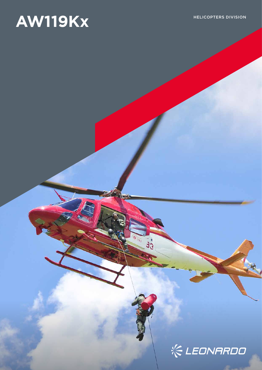# **AW119Kx** HELICOPTERS DIVISION



38 192

 $\frac{d}{d\sigma}$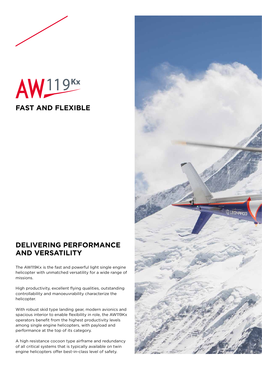



# **DELIVERING PERFORMANCE AND VERSATILITY**

The AW119Kx is the fast and powerful light single engine helicopter with unmatched versatility for a wide range of missions.

High productivity, excellent flying qualities, outstanding controllability and manoeuvrability characterize the helicopter.

With robust skid type landing gear, modern avionics and spacious interior to enable flexibility in role, the AW119Kx operators benefit from the highest productivity levels among single engine helicopters, with payload and performance at the top of its category.

A high resistance cocoon type airframe and redundancy of all critical systems that is typically available on twin engine helicopters offer best-in-class level of safety.

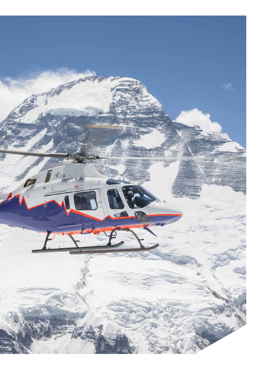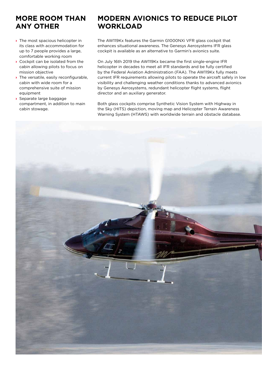# **MORE ROOM THAN ANY OTHER**

- **›** The most spacious helicopter in its class with accommodation for up to 7 people provides a large, comfortable working room
- **›** Cockpit can be isolated from the cabin allowing pilots to focus on mission objective
- **›** The versatile, easily reconfigurable, cabin with wide room for a comprehensive suite of mission equipment
- **›** Separate large baggage compartment, in addition to main cabin stowage.

# **MODERN AVIONICS TO REDUCE PILOT WORKLOAD**

The AW119Kx features the Garmin G1000NXi VFR glass cockpit that enhances situational awareness. The Genesys Aerosystems IFR glass cockpit is available as an alternative to Garmin's avionics suite.

On July 16th 2019 the AW119Kx became the first single-engine IFR helicopter in decades to meet all IFR standards and be fully certified by the Federal Aviation Administration (FAA). The AW119Kx fully meets current IFR requirements allowing pilots to operate the aircraft safely in low visibility and challenging weather conditions thanks to advanced avionics by Genesys Aerosystems, redundant helicopter flight systems, flight director and an auxiliary generator.

Both glass cockpits comprise Synthetic Vision System with Highway in the Sky (HITS) depiction, moving map and Helicopter Terrain Awareness Warning System (HTAWS) with worldwide terrain and obstacle database.

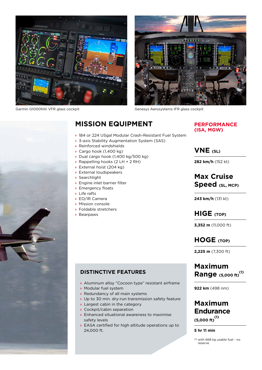



Garmin G1000NXi VFR glass cockpit Genesys Aerosystems IFR glass cockpit

# **MISSION EQUIPMENT**

- **›** 184 or 224 USgal Modular Crash-Resistant Fuel System
- **›** 3-axis Stability Augmentation System (SAS)
- **›** Reinforced windshields
- **›** Cargo hook (1,400 kg)
- **›** Dual cargo hook (1,400 kg/500 kg)
- **›** Rappelling hooks (2 LH + 2 RH)
- **›** External hoist (204 kg)
- **›** External loudspeakers
- **›** Searchlight
- **›** Engine inlet barrier filter
- **›** Emergency floats
- **›** Life rafts
- **›** EO/IR Camera
- **›** Mission console
- **›** Foldable stretchers
- **›** Bearpaws

### **VNE (SL)**

**(ISA, MGW)**

**282 km/h** (152 kt)

**PERFORMANCE** 

## **Max Cruise Speed (SL, MCP)**

**243 km/h** (131 kt)

### **HIGE (TOP)**

**3,352 m** (11,000 ft)

### **HOGE (TOP)**

**2,225 m** (7,300 ft)

## **Maximum Range (5,000 ft) (1)**

**922 km** (498 nm)

### **Maximum Endurance (5,000 ft) (1)**

**5 hr 11 min**

(1) with 668 kg usable fuel - no reserve

### **DISTINCTIVE FEATURES**

- **›** Aluminum alloy "Cocoon type" resistant airframe
- **›** Modular fuel system
- **›** Redundancy of all main systems
- **›** Up to 30 min. dry-run transmission safety feature
- **›** Largest cabin in the category
- **›** Cockpit/cabin separation
- **›** Enhanced situational awareness to maximise safety levels
- **›** EASA certified for high altitude operations up to 24,000 ft.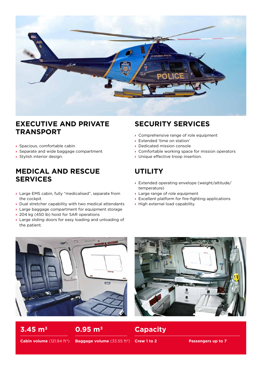

## **EXECUTIVE AND PRIVATE TRANSPORT**

- **›** Spacious, comfortable cabin
- **›** Separate and wide baggage compartment
- **›** Stylish interior design.

# **MEDICAL AND RESCUE SERVICES**

- **›** Large EMS cabin, fully "medicalised", separate from the cockpit
- **›** Dual stretcher capability with two medical attendants
- **›** Large baggage compartment for equipment storage
- **›** 204 kg (450 lb) hoist for SAR operations
- **›** Large sliding doors for easy loading and unloading of the patient.

# **SECURITY SERVICES**

- **›** Comprehensive range of role equipment
- **›** Extended 'time on station'
- **›** Dedicated mission console
- **›** Comfortable working space for mission operators
- **›** Unique effective troop insertion.

# **UTILITY**

- **›** Extended operating envelope (weight/altitude/ temperature)
- **›** Large range of role equipment
- **›** Excellent platform for fire-fighting applications
- **›** High external load capability.





# **3.45 m3**

### **0.95 m3**

**Cabin volume** (121.84 ft<sup>3</sup>) Baggage volume (33.55 ft<sup>3</sup>) **Crew 1 to 2 Passengers up to 7** 

**Capacity**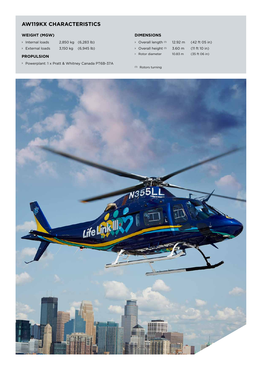### **AW119KX CHARACTERISTICS**

#### **WEIGHT (MGW)**

- › Internal loads 2,850 kg (6,283 lb)
- › External loads 3,150 kg (6,945 lb)

#### **PROPULSION**

› Powerplant: 1 x Pratt & Whitney Canada PT6B-37A

#### **DIMENSIONS**

- › Overall length (1) 12.92 m (42 ft 05 in)
- › Overall height (1) 3.60 m (11 ft 10 in)
- › Rotor diameter 10.83 m (35 ft 06 in)
- -
- (1) Rotors turning